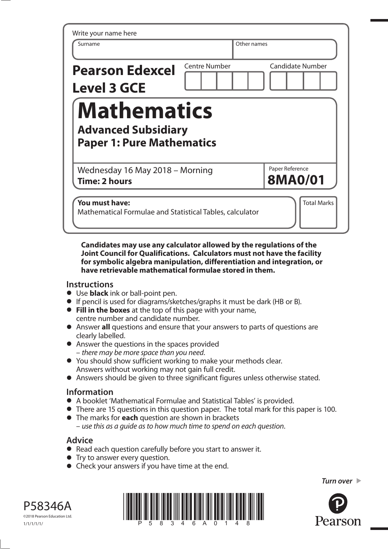| Write your name here<br>Surname                                                      |                      | Other names                       |
|--------------------------------------------------------------------------------------|----------------------|-----------------------------------|
| <b>Pearson Edexcel</b><br><b>Level 3 GCE</b>                                         | <b>Centre Number</b> | <b>Candidate Number</b>           |
| <b>Mathematics</b><br><b>Advanced Subsidiary</b><br><b>Paper 1: Pure Mathematics</b> |                      |                                   |
| Wednesday 16 May 2018 - Morning<br>Time: 2 hours                                     |                      | Paper Reference<br><b>8MA0/01</b> |
| You must have:<br>Mathematical Formulae and Statistical Tables, calculator           |                      | <b>Total Marks</b>                |

**Candidates may use any calculator allowed by the regulations of the Joint Council for Qualifications. Calculators must not have the facility for symbolic algebra manipulation, differentiation and integration, or have retrievable mathematical formulae stored in them.**

## **Instructions**

- Use **black** ink or ball-point pen.
- Use **black** ink or ball-point pen.<br>● If pencil is used for diagrams/sketches/graphs it must be dark (HB or B).
- **•** If pencil is used for diagrams/sketches/graphs it must be only **Fill in the boxes** at the top of this page with your name, centre number and candidate number.
- Answer **all** questions and ensure that your answers to parts of questions are clearly labelled.
- Answer the questions in the spaces provided – there may be more space than you need.
- You should show sufficient working to make your methods clear. Answers without working may not gain full credit.
- Answers should be given to three significant figures unless otherwise stated.

## **Information**

- A booklet 'Mathematical Formulae and Statistical Tables' is provided.
- **•** A booklet 'Mathematical Formulae and Statistical Tables' is provided.<br>• There are 15 questions in this question paper. The total mark for this paper is 100. **•** There are 15 questions in this question paper. The t<br>• The marks for **each** question are shown in brackets
- use this as a guide as to how much time to spend on each question.

## **Advice**

- **Advice**<br>● Read each question carefully before you start to answer it. • Read each question carefully<br>• Try to answer every question.
- 
- **•** Try to answer every question.<br>• Check your answers if you have time at the end.





*Turn over* 

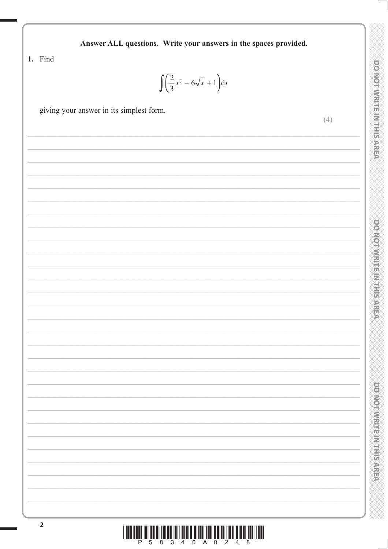| Answer ALL questions. Write your answers in the spaces provided. |                                   |
|------------------------------------------------------------------|-----------------------------------|
| 1. Find<br>$\int \left(\frac{2}{3}x^3 - 6\sqrt{x} + 1\right) dx$ |                                   |
| giving your answer in its simplest form.<br>(4)                  | <b>DO NOT WIRTHEIN IF IS AREA</b> |
|                                                                  |                                   |
|                                                                  | DONOIAN HELMICNICA                |
|                                                                  | power warms was presented         |
|                                                                  |                                   |

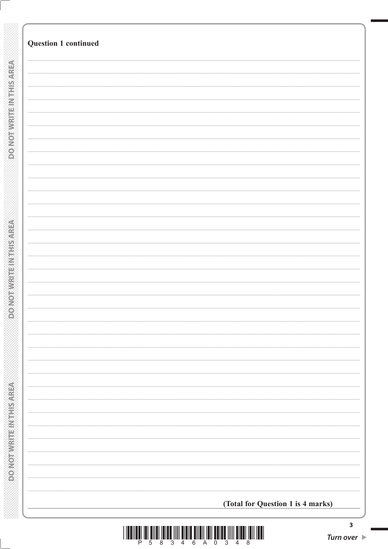| (Total for Question 1 is 4 marks) |  |
|-----------------------------------|--|
|                                   |  |

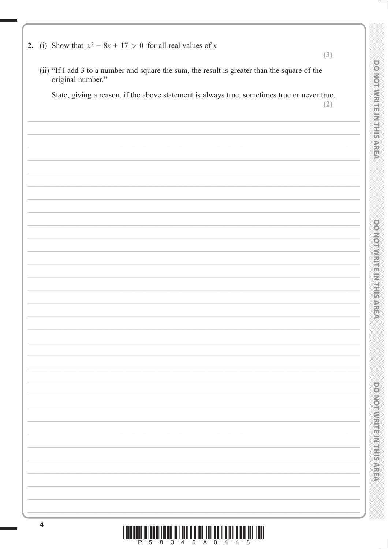| 2. (i) Show that $x^2 - 8x + 17 > 0$ for all real values of x<br>(3)                                               |
|--------------------------------------------------------------------------------------------------------------------|
| (ii) "If I add 3 to a number and square the sum, the result is greater than the square of the<br>original number." |
| State, giving a reason, if the above statement is always true, sometimes true or never true.<br>(2)                |
|                                                                                                                    |
|                                                                                                                    |
|                                                                                                                    |
|                                                                                                                    |
|                                                                                                                    |
|                                                                                                                    |
|                                                                                                                    |
|                                                                                                                    |
|                                                                                                                    |
|                                                                                                                    |
|                                                                                                                    |
|                                                                                                                    |
|                                                                                                                    |
|                                                                                                                    |
|                                                                                                                    |
|                                                                                                                    |
|                                                                                                                    |
|                                                                                                                    |
|                                                                                                                    |
|                                                                                                                    |
|                                                                                                                    |
|                                                                                                                    |
|                                                                                                                    |
|                                                                                                                    |
|                                                                                                                    |
|                                                                                                                    |
|                                                                                                                    |

 $\overline{\mathbf{4}}$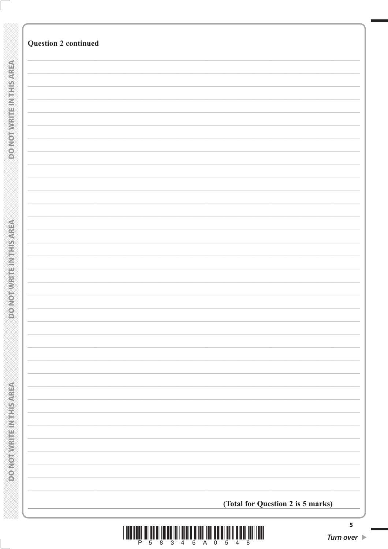| <b>Question 2 continued</b> |                                   |  |
|-----------------------------|-----------------------------------|--|
|                             |                                   |  |
|                             |                                   |  |
|                             |                                   |  |
|                             |                                   |  |
|                             |                                   |  |
|                             |                                   |  |
|                             |                                   |  |
|                             |                                   |  |
|                             |                                   |  |
|                             |                                   |  |
|                             |                                   |  |
|                             |                                   |  |
|                             |                                   |  |
|                             |                                   |  |
|                             |                                   |  |
|                             |                                   |  |
|                             |                                   |  |
|                             |                                   |  |
|                             |                                   |  |
|                             |                                   |  |
|                             |                                   |  |
|                             |                                   |  |
|                             | (Total for Question 2 is 5 marks) |  |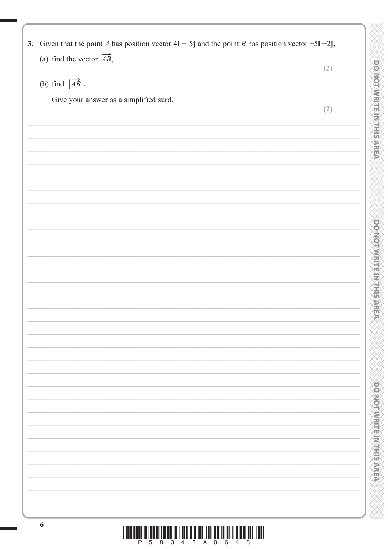| Give your answer as a simplified surd.      | (2) |
|---------------------------------------------|-----|
| (b) find $ \overrightarrow{AB} $ .          |     |
|                                             | (2) |
| (a) find the vector $\overrightarrow{AB}$ , |     |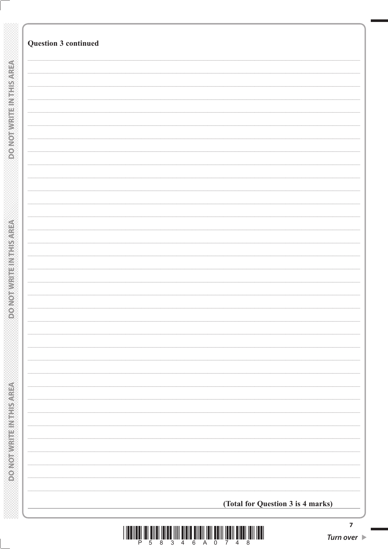| (Total for Question 3 is 4 marks) |
|-----------------------------------|
|                                   |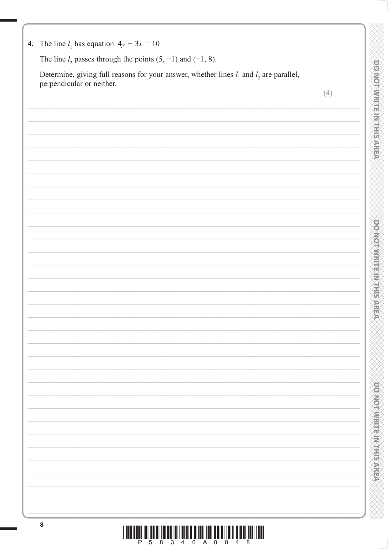|   | ŧ |         |   |  |
|---|---|---------|---|--|
|   |   |         |   |  |
| ï |   |         |   |  |
|   |   |         |   |  |
|   | Ç |         |   |  |
|   |   |         |   |  |
|   |   |         |   |  |
|   | ₩ |         | I |  |
|   |   |         |   |  |
|   |   | ś       |   |  |
|   | ê |         |   |  |
|   |   |         |   |  |
|   |   |         |   |  |
|   |   |         |   |  |
|   |   |         |   |  |
|   |   |         |   |  |
|   |   |         |   |  |
|   |   |         |   |  |
|   |   |         |   |  |
|   |   |         |   |  |
|   |   |         |   |  |
|   |   |         |   |  |
|   |   |         |   |  |
|   |   |         |   |  |
|   |   |         |   |  |
|   |   |         |   |  |
|   |   |         |   |  |
|   |   |         |   |  |
|   |   |         |   |  |
|   |   | i<br>Si |   |  |
|   |   |         |   |  |
|   |   |         |   |  |
|   |   |         |   |  |
|   |   | ۲       |   |  |
|   |   |         | Í |  |
|   | Î |         |   |  |
|   |   | ý       |   |  |
|   |   |         |   |  |
|   |   |         |   |  |
|   |   |         |   |  |
|   |   |         |   |  |
|   |   |         |   |  |
|   |   |         |   |  |
|   |   |         |   |  |
|   |   |         |   |  |
|   |   |         |   |  |
|   |   |         |   |  |
|   |   |         |   |  |
|   |   | 医大麻     |   |  |
|   |   | t,      |   |  |
|   |   |         |   |  |
|   |   |         |   |  |
|   |   |         |   |  |

|  |  |  |  | 4. The line $l_1$ has equation $4y - 3x = 10$ |  |
|--|--|--|--|-----------------------------------------------|--|
|--|--|--|--|-----------------------------------------------|--|

The line  $l_2$  passes through the points (5, -1) and (-1, 8).

Determine, giving full reasons for your answer, whether lines  $l_1$  and  $l_2$  are parallel, perpendicular or neither.

 $(4)$ 

| <u> III Martin Martin Martin Martin Martin Martin Martin Martin Ma</u> |  |  |  |  |  |  |
|------------------------------------------------------------------------|--|--|--|--|--|--|
|                                                                        |  |  |  |  |  |  |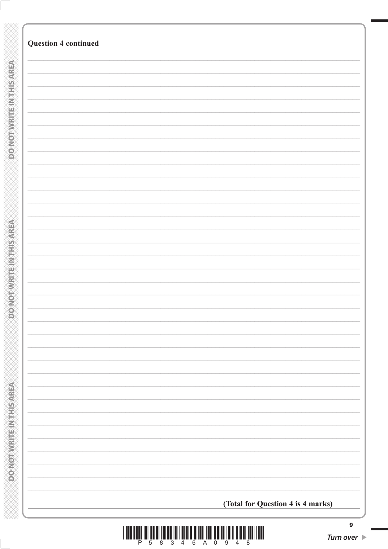| <b>Question 4 continued</b>       |
|-----------------------------------|
|                                   |
|                                   |
|                                   |
|                                   |
|                                   |
|                                   |
|                                   |
|                                   |
|                                   |
|                                   |
|                                   |
|                                   |
|                                   |
|                                   |
|                                   |
|                                   |
|                                   |
|                                   |
|                                   |
|                                   |
|                                   |
|                                   |
|                                   |
|                                   |
|                                   |
|                                   |
|                                   |
|                                   |
|                                   |
| (Total for Question 4 is 4 marks) |
|                                   |

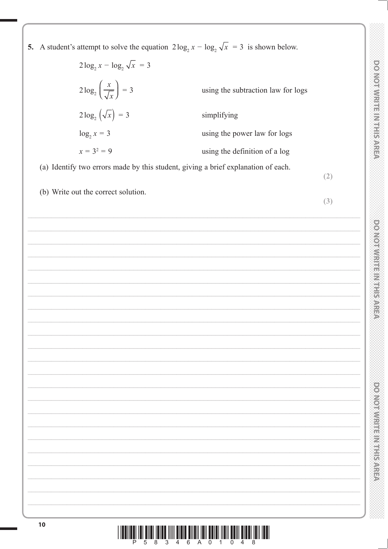| $2\log_2 x - \log_2 \sqrt{x} = 3$            |                                                                                          |  |
|----------------------------------------------|------------------------------------------------------------------------------------------|--|
| $2\log_2\left(\frac{x}{\sqrt{x}}\right) = 3$ | using the subtraction law for logs                                                       |  |
| $2\log_2(\sqrt{x}) = 3$                      | simplifying                                                                              |  |
| $\log_2 x = 3$                               | using the power law for logs                                                             |  |
| $x = 3^2 = 9$                                | using the definition of a log                                                            |  |
|                                              | (a) Identify two errors made by this student, giving a brief explanation of each.<br>(2) |  |
| (b) Write out the correct solution.          |                                                                                          |  |
|                                              | (3)                                                                                      |  |
|                                              |                                                                                          |  |
|                                              |                                                                                          |  |
|                                              |                                                                                          |  |
|                                              |                                                                                          |  |
|                                              | <u> 1989 - Johann Stein, mars an deus Amerikaansk kommunister (* 1958)</u>               |  |
|                                              |                                                                                          |  |
|                                              | <u> 1989 - Johann Stoff, amerikansk politiker (d. 1989)</u>                              |  |
|                                              |                                                                                          |  |
|                                              |                                                                                          |  |
|                                              |                                                                                          |  |
|                                              |                                                                                          |  |
|                                              |                                                                                          |  |
|                                              |                                                                                          |  |
|                                              |                                                                                          |  |
|                                              |                                                                                          |  |
|                                              |                                                                                          |  |
|                                              |                                                                                          |  |
|                                              |                                                                                          |  |
|                                              |                                                                                          |  |
|                                              |                                                                                          |  |
|                                              |                                                                                          |  |
|                                              |                                                                                          |  |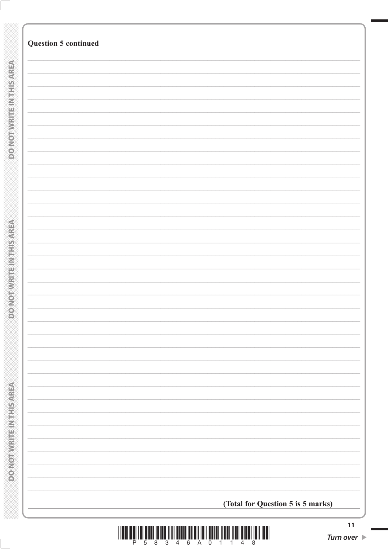| <b>Question 5 continued</b>       |
|-----------------------------------|
|                                   |
|                                   |
|                                   |
|                                   |
|                                   |
|                                   |
|                                   |
|                                   |
|                                   |
|                                   |
|                                   |
|                                   |
|                                   |
|                                   |
|                                   |
|                                   |
|                                   |
|                                   |
|                                   |
|                                   |
|                                   |
|                                   |
|                                   |
|                                   |
|                                   |
|                                   |
|                                   |
|                                   |
|                                   |
|                                   |
|                                   |
|                                   |
|                                   |
| (Total for Question 5 is 5 marks) |

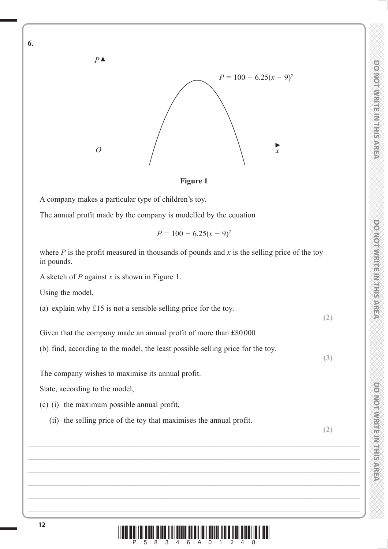

**Figure 1**

A company makes a particular type of children's toy.

The annual profit made by the company is modelled by the equation

$$
P = 100 - 6.25(x - 9)^2
$$

where  $P$  is the profit measured in thousands of pounds and  $x$  is the selling price of the toy in pounds.

A sketch of *P* against *x* is shown in Figure 1.

Using the model,

**6.**

(a) explain why  $£15$  is not a sensible selling price for the toy.

Given that the company made an annual profit of more than  $£80000$ 

(b) find, according to the model, the least possible selling price for the toy.

The company wishes to maximise its annual profit.

State, according to the model,

- (c) (i) the maximum possible annual profit,
	- (ii) the selling price of the toy that maximises the annual profit.

**(2)**

**(2)**

**(3)**

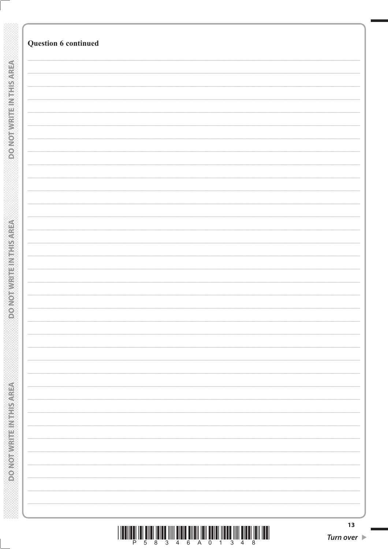| <b>Question 6 continued</b><br><b>DO NOTWEITEN THIS AREA</b><br><b>ROMOBIAL PROVIDED</b><br><b>Market Market Elizabeth Residence</b><br>13 |  |  |
|--------------------------------------------------------------------------------------------------------------------------------------------|--|--|
|                                                                                                                                            |  |  |
|                                                                                                                                            |  |  |
|                                                                                                                                            |  |  |
|                                                                                                                                            |  |  |
|                                                                                                                                            |  |  |
|                                                                                                                                            |  |  |
|                                                                                                                                            |  |  |
|                                                                                                                                            |  |  |
|                                                                                                                                            |  |  |
|                                                                                                                                            |  |  |
|                                                                                                                                            |  |  |
|                                                                                                                                            |  |  |
|                                                                                                                                            |  |  |
|                                                                                                                                            |  |  |
|                                                                                                                                            |  |  |
|                                                                                                                                            |  |  |
|                                                                                                                                            |  |  |
|                                                                                                                                            |  |  |
|                                                                                                                                            |  |  |
|                                                                                                                                            |  |  |
|                                                                                                                                            |  |  |
|                                                                                                                                            |  |  |
|                                                                                                                                            |  |  |
|                                                                                                                                            |  |  |
|                                                                                                                                            |  |  |
|                                                                                                                                            |  |  |
|                                                                                                                                            |  |  |
|                                                                                                                                            |  |  |
|                                                                                                                                            |  |  |
|                                                                                                                                            |  |  |
|                                                                                                                                            |  |  |
|                                                                                                                                            |  |  |
|                                                                                                                                            |  |  |
|                                                                                                                                            |  |  |
|                                                                                                                                            |  |  |
|                                                                                                                                            |  |  |
|                                                                                                                                            |  |  |
|                                                                                                                                            |  |  |
|                                                                                                                                            |  |  |
|                                                                                                                                            |  |  |
|                                                                                                                                            |  |  |
|                                                                                                                                            |  |  |
|                                                                                                                                            |  |  |
|                                                                                                                                            |  |  |
|                                                                                                                                            |  |  |
|                                                                                                                                            |  |  |
|                                                                                                                                            |  |  |
|                                                                                                                                            |  |  |
|                                                                                                                                            |  |  |
|                                                                                                                                            |  |  |
|                                                                                                                                            |  |  |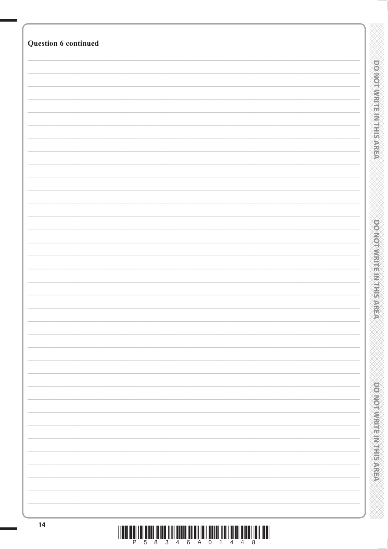| Question 6 continued |                                       |
|----------------------|---------------------------------------|
|                      |                                       |
|                      |                                       |
|                      | <b>DO NOT WIRTHEIN THIS AREA</b>      |
|                      |                                       |
|                      |                                       |
|                      |                                       |
|                      |                                       |
|                      |                                       |
|                      |                                       |
|                      |                                       |
|                      |                                       |
|                      |                                       |
|                      |                                       |
|                      |                                       |
|                      |                                       |
|                      |                                       |
|                      | <b>DOMOVICE IN SECTION AND STREET</b> |
|                      |                                       |
|                      |                                       |
|                      |                                       |
|                      |                                       |
|                      |                                       |
|                      |                                       |
|                      |                                       |
|                      |                                       |
|                      |                                       |
|                      |                                       |
|                      |                                       |
|                      |                                       |
|                      |                                       |
|                      |                                       |
|                      |                                       |
|                      | <b>DONOTHILITIES MERRIAN</b>          |
|                      |                                       |
|                      |                                       |
|                      |                                       |
|                      |                                       |
|                      |                                       |
| $14$                 |                                       |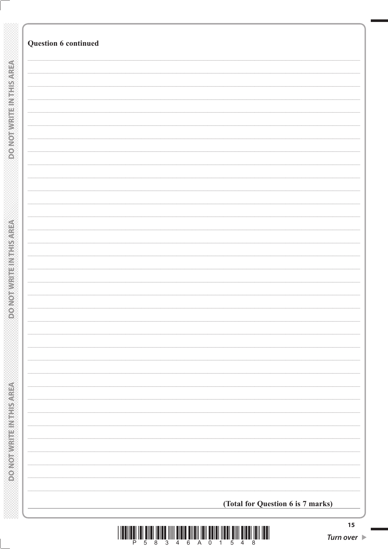| Question 6 continued              |
|-----------------------------------|
|                                   |
|                                   |
|                                   |
|                                   |
|                                   |
|                                   |
|                                   |
|                                   |
|                                   |
|                                   |
|                                   |
|                                   |
|                                   |
|                                   |
|                                   |
|                                   |
|                                   |
|                                   |
|                                   |
|                                   |
|                                   |
|                                   |
|                                   |
|                                   |
|                                   |
|                                   |
|                                   |
|                                   |
|                                   |
|                                   |
|                                   |
|                                   |
|                                   |
|                                   |
|                                   |
|                                   |
|                                   |
|                                   |
| (Total for Question 6 is 7 marks) |

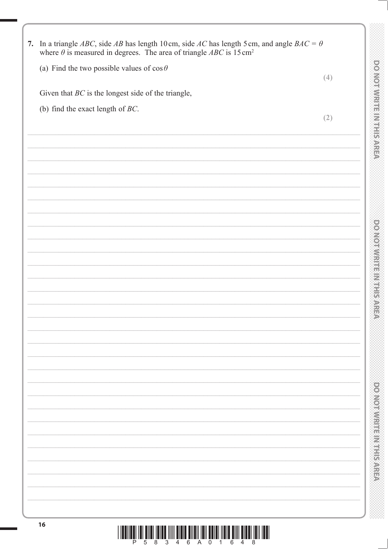| 7. In a triangle ABC, side AB has length 10cm, side AC has length 5cm, and angle $BAC = \theta$<br>where $\theta$ is measured in degrees. The area of triangle ABC is 15 cm <sup>2</sup> |                                                                                                                       |
|------------------------------------------------------------------------------------------------------------------------------------------------------------------------------------------|-----------------------------------------------------------------------------------------------------------------------|
| (a) Find the two possible values of $\cos \theta$                                                                                                                                        |                                                                                                                       |
|                                                                                                                                                                                          | (4)                                                                                                                   |
| Given that $BC$ is the longest side of the triangle,                                                                                                                                     |                                                                                                                       |
| (b) find the exact length of $BC$ .                                                                                                                                                      |                                                                                                                       |
|                                                                                                                                                                                          | (2)                                                                                                                   |
|                                                                                                                                                                                          |                                                                                                                       |
|                                                                                                                                                                                          |                                                                                                                       |
|                                                                                                                                                                                          |                                                                                                                       |
|                                                                                                                                                                                          |                                                                                                                       |
|                                                                                                                                                                                          |                                                                                                                       |
|                                                                                                                                                                                          |                                                                                                                       |
|                                                                                                                                                                                          |                                                                                                                       |
|                                                                                                                                                                                          |                                                                                                                       |
|                                                                                                                                                                                          | <u> 1989 - Johann Stoff, deutscher Stoff, der Stoff, der Stoff, der Stoff, der Stoff, der Stoff, der Stoff, der S</u> |
|                                                                                                                                                                                          |                                                                                                                       |
|                                                                                                                                                                                          |                                                                                                                       |
|                                                                                                                                                                                          |                                                                                                                       |
|                                                                                                                                                                                          |                                                                                                                       |
|                                                                                                                                                                                          |                                                                                                                       |
|                                                                                                                                                                                          |                                                                                                                       |
|                                                                                                                                                                                          |                                                                                                                       |
|                                                                                                                                                                                          |                                                                                                                       |
|                                                                                                                                                                                          |                                                                                                                       |
|                                                                                                                                                                                          |                                                                                                                       |
|                                                                                                                                                                                          |                                                                                                                       |
|                                                                                                                                                                                          |                                                                                                                       |
|                                                                                                                                                                                          |                                                                                                                       |
|                                                                                                                                                                                          |                                                                                                                       |
|                                                                                                                                                                                          |                                                                                                                       |
|                                                                                                                                                                                          |                                                                                                                       |
|                                                                                                                                                                                          |                                                                                                                       |
|                                                                                                                                                                                          |                                                                                                                       |
|                                                                                                                                                                                          |                                                                                                                       |
|                                                                                                                                                                                          |                                                                                                                       |
|                                                                                                                                                                                          |                                                                                                                       |
|                                                                                                                                                                                          |                                                                                                                       |
|                                                                                                                                                                                          |                                                                                                                       |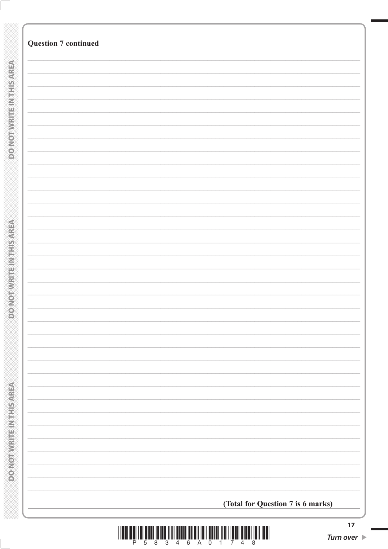|                                    | <b>Question 7 continued</b>       |
|------------------------------------|-----------------------------------|
|                                    |                                   |
|                                    |                                   |
|                                    |                                   |
|                                    |                                   |
|                                    |                                   |
| <b>DONOTWRITEINTHIS AREA</b>       |                                   |
|                                    |                                   |
|                                    |                                   |
|                                    |                                   |
|                                    |                                   |
|                                    |                                   |
|                                    |                                   |
|                                    |                                   |
|                                    |                                   |
|                                    |                                   |
|                                    |                                   |
|                                    |                                   |
|                                    |                                   |
|                                    |                                   |
|                                    |                                   |
|                                    |                                   |
| <b>CERNES IN REPORT OF LESSON</b>  |                                   |
|                                    |                                   |
|                                    |                                   |
|                                    |                                   |
|                                    |                                   |
|                                    |                                   |
|                                    |                                   |
|                                    |                                   |
|                                    |                                   |
|                                    |                                   |
|                                    |                                   |
|                                    |                                   |
|                                    |                                   |
|                                    |                                   |
|                                    |                                   |
|                                    |                                   |
|                                    |                                   |
| <b>COMPOSITION CONTROLLED AREA</b> |                                   |
|                                    |                                   |
|                                    |                                   |
|                                    | (Total for Question 7 is 6 marks) |

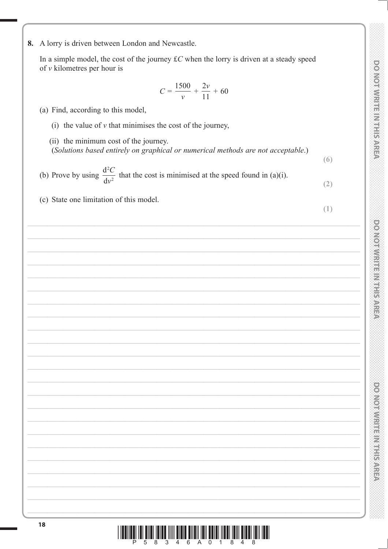$(6)$ 

 $(2)$ 

 $(1)$ 

8. A lorry is driven between London and Newcastle.

In a simple model, the cost of the journey  $\pounds C$  when the lorry is driven at a steady speed of  $\nu$  kilometres per hour is

$$
C = \frac{1500}{v} + \frac{2v}{11} + 60
$$

- (a) Find, according to this model,
	- (i) the value of  $\nu$  that minimises the cost of the journey,

(ii) the minimum cost of the journey. (Solutions based entirely on graphical or numerical methods are not acceptable.)

(b) Prove by using  $\frac{d^2C}{dr^2}$  that the cost is minimised at the speed found in (a)(i).

(c) State one limitation of this model.

**PONONNIA PROTECTIONS** 

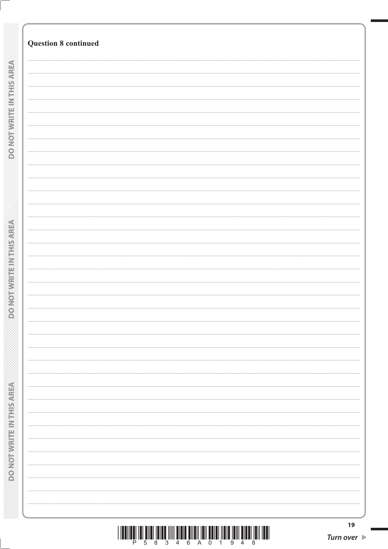|                                          | <b>Question 8 continued</b> |
|------------------------------------------|-----------------------------|
|                                          |                             |
|                                          |                             |
|                                          |                             |
| <b>DO NOTWEITEN THIS AREA</b>            |                             |
|                                          |                             |
|                                          |                             |
|                                          |                             |
|                                          |                             |
|                                          |                             |
|                                          |                             |
|                                          |                             |
|                                          |                             |
|                                          |                             |
|                                          |                             |
|                                          |                             |
|                                          |                             |
|                                          |                             |
|                                          |                             |
|                                          |                             |
|                                          |                             |
|                                          |                             |
| <b>ROMOBIAL PROVIDED</b>                 |                             |
|                                          |                             |
|                                          |                             |
|                                          |                             |
|                                          |                             |
|                                          |                             |
|                                          |                             |
|                                          |                             |
|                                          |                             |
|                                          |                             |
|                                          |                             |
|                                          |                             |
|                                          |                             |
|                                          |                             |
|                                          |                             |
|                                          |                             |
|                                          |                             |
|                                          |                             |
|                                          |                             |
| <b>Market Market Elizabeth Residence</b> |                             |
|                                          |                             |
|                                          |                             |
|                                          |                             |
|                                          |                             |
|                                          |                             |
|                                          | 19                          |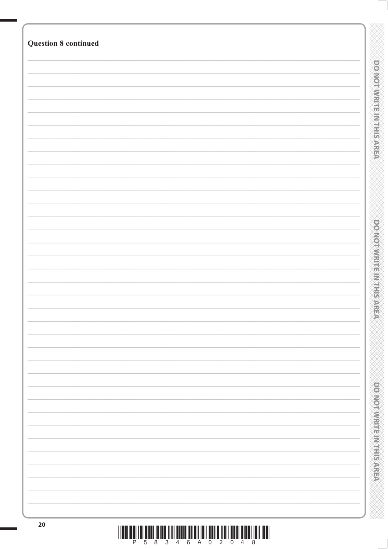| <b>Question 8 continued</b> |                                       |
|-----------------------------|---------------------------------------|
|                             |                                       |
|                             |                                       |
|                             | <b>DOMORATION IS NOT REARED</b>       |
|                             |                                       |
|                             |                                       |
|                             |                                       |
|                             |                                       |
|                             |                                       |
|                             |                                       |
|                             |                                       |
|                             |                                       |
|                             |                                       |
|                             |                                       |
|                             |                                       |
|                             |                                       |
|                             |                                       |
|                             |                                       |
|                             |                                       |
|                             |                                       |
|                             | <b>DOMOVICE IN SECTION AND STREET</b> |
|                             |                                       |
|                             |                                       |
|                             |                                       |
|                             |                                       |
|                             |                                       |
|                             |                                       |
|                             |                                       |
|                             |                                       |
|                             |                                       |
|                             |                                       |
|                             |                                       |
|                             |                                       |
|                             |                                       |
|                             |                                       |
|                             |                                       |
|                             |                                       |
|                             |                                       |
|                             |                                       |
|                             |                                       |
|                             | <b>DOMODIAL HERMITERS</b>             |
|                             |                                       |
|                             |                                       |
|                             |                                       |
|                             |                                       |
| 20                          |                                       |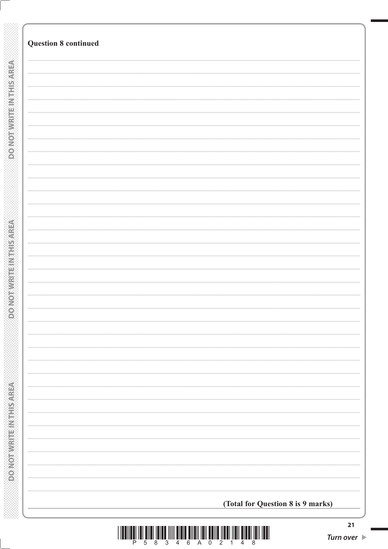|                           | <b>Question 8 continued</b>       |
|---------------------------|-----------------------------------|
|                           |                                   |
|                           |                                   |
| DO NOT WRITE IN THIS AREA |                                   |
|                           |                                   |
|                           |                                   |
|                           |                                   |
|                           |                                   |
|                           |                                   |
|                           |                                   |
|                           |                                   |
|                           |                                   |
|                           |                                   |
|                           |                                   |
|                           |                                   |
|                           |                                   |
|                           |                                   |
|                           |                                   |
|                           |                                   |
|                           |                                   |
|                           |                                   |
|                           |                                   |
|                           |                                   |
|                           |                                   |
|                           |                                   |
|                           |                                   |
|                           |                                   |
|                           |                                   |
|                           |                                   |
|                           |                                   |
|                           |                                   |
|                           |                                   |
|                           |                                   |
|                           |                                   |
|                           |                                   |
|                           |                                   |
|                           |                                   |
|                           |                                   |
|                           |                                   |
|                           |                                   |
|                           |                                   |
|                           |                                   |
|                           |                                   |
|                           |                                   |
|                           |                                   |
|                           |                                   |
|                           |                                   |
|                           |                                   |
|                           |                                   |
|                           |                                   |
|                           |                                   |
|                           |                                   |
|                           | (Total for Question 8 is 9 marks) |

§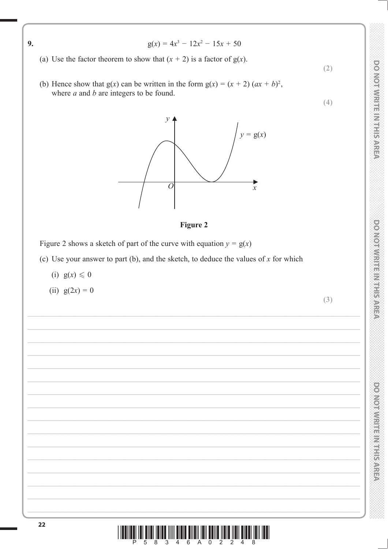

**DONOTWRITEINITISAREN** 

**DONOIMISTE IN HIS AREA** 

**DOMORATION ENTIRES** 

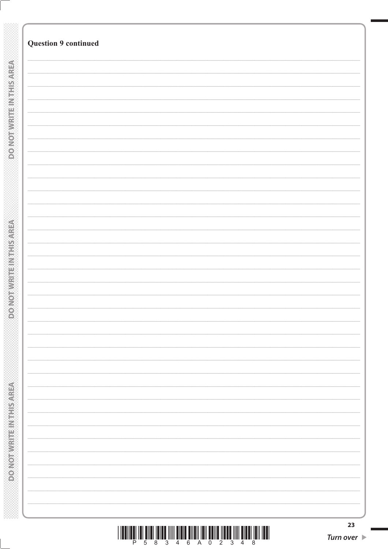| <b>Question 9 continued</b> |  |
|-----------------------------|--|
|                             |  |
|                             |  |
|                             |  |
|                             |  |
|                             |  |
|                             |  |
|                             |  |
|                             |  |
|                             |  |
|                             |  |
|                             |  |
|                             |  |
|                             |  |
|                             |  |
|                             |  |
|                             |  |
|                             |  |
|                             |  |
|                             |  |
|                             |  |
|                             |  |
|                             |  |
|                             |  |
|                             |  |
|                             |  |
|                             |  |
|                             |  |
|                             |  |
|                             |  |
|                             |  |
|                             |  |
|                             |  |
|                             |  |
|                             |  |
|                             |  |
|                             |  |
|                             |  |
|                             |  |
|                             |  |
|                             |  |
|                             |  |
|                             |  |
|                             |  |
|                             |  |
|                             |  |
|                             |  |
|                             |  |
|                             |  |
|                             |  |
|                             |  |
|                             |  |
|                             |  |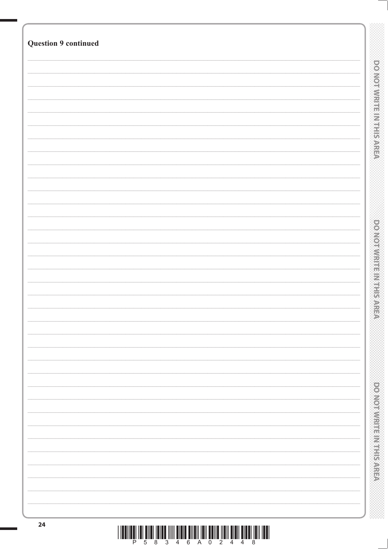| <b>Question 9 continued</b> |                                          |
|-----------------------------|------------------------------------------|
|                             |                                          |
|                             |                                          |
|                             | <b>DOMOTIVE HIS HIS AREA</b>             |
|                             |                                          |
|                             |                                          |
|                             |                                          |
|                             |                                          |
|                             |                                          |
|                             |                                          |
|                             |                                          |
|                             |                                          |
|                             |                                          |
|                             |                                          |
|                             |                                          |
|                             | <b>PONDERN MENTIONS CONSTRUCT</b>        |
|                             |                                          |
|                             |                                          |
|                             |                                          |
|                             |                                          |
|                             |                                          |
|                             |                                          |
|                             |                                          |
|                             |                                          |
|                             |                                          |
|                             |                                          |
|                             |                                          |
|                             |                                          |
|                             |                                          |
|                             |                                          |
|                             |                                          |
|                             |                                          |
|                             | <b>DOMODIAN PROPERTY AND ARRANGEMENT</b> |
|                             |                                          |
|                             |                                          |
|                             |                                          |
| 24                          |                                          |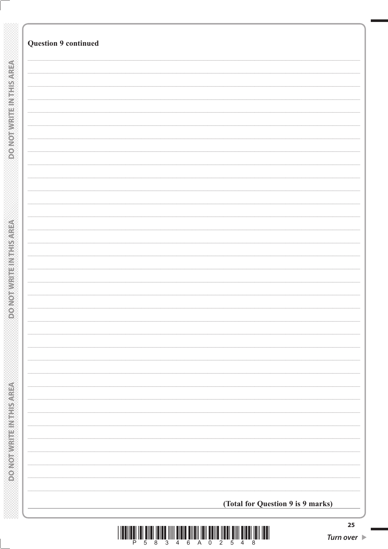|                                 | <b>Question 9 continued</b>       |
|---------------------------------|-----------------------------------|
|                                 |                                   |
|                                 |                                   |
|                                 |                                   |
| DO NOT WRITE IN THIS AREA       |                                   |
|                                 |                                   |
|                                 |                                   |
|                                 |                                   |
|                                 |                                   |
|                                 |                                   |
|                                 |                                   |
|                                 |                                   |
|                                 |                                   |
|                                 |                                   |
|                                 |                                   |
|                                 |                                   |
|                                 |                                   |
|                                 |                                   |
|                                 |                                   |
|                                 |                                   |
|                                 |                                   |
|                                 |                                   |
|                                 |                                   |
|                                 |                                   |
|                                 |                                   |
|                                 |                                   |
| <b>CONORADO DE ACTIVITATIVA</b> |                                   |
|                                 |                                   |
|                                 |                                   |
|                                 |                                   |
|                                 |                                   |
|                                 |                                   |
|                                 |                                   |
|                                 |                                   |
|                                 |                                   |
|                                 |                                   |
|                                 |                                   |
|                                 |                                   |
|                                 |                                   |
|                                 |                                   |
|                                 |                                   |
|                                 |                                   |
|                                 |                                   |
|                                 |                                   |
|                                 |                                   |
|                                 |                                   |
|                                 |                                   |
|                                 |                                   |
|                                 |                                   |
|                                 |                                   |
|                                 |                                   |
|                                 |                                   |
|                                 |                                   |
|                                 |                                   |
|                                 |                                   |
|                                 |                                   |
|                                 |                                   |
|                                 |                                   |
|                                 |                                   |
| <b>DOMORAGE SECTION OF</b>      |                                   |
|                                 | (Total for Question 9 is 9 marks) |



§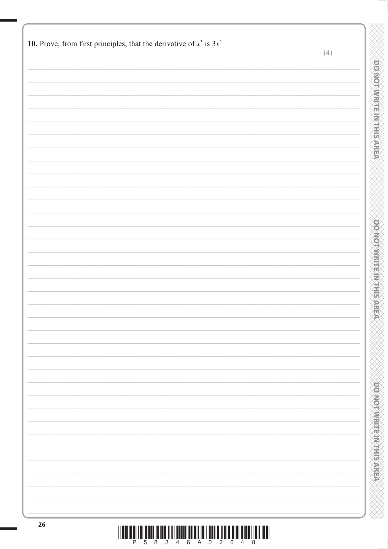| 10. Prove, from first principles, that the derivative of $x^3$ is $3x^2$ | (4) |                                |
|--------------------------------------------------------------------------|-----|--------------------------------|
|                                                                          |     |                                |
|                                                                          |     | <b>DO NOTWRITEIN THIS AREA</b> |
|                                                                          |     |                                |
|                                                                          |     |                                |
|                                                                          |     |                                |
|                                                                          |     |                                |
|                                                                          |     | <b>DO NOTWRITE IN THE AREA</b> |
|                                                                          |     |                                |
|                                                                          |     |                                |
|                                                                          |     |                                |
|                                                                          |     | polyontary and the present     |
|                                                                          |     |                                |
| 26                                                                       |     |                                |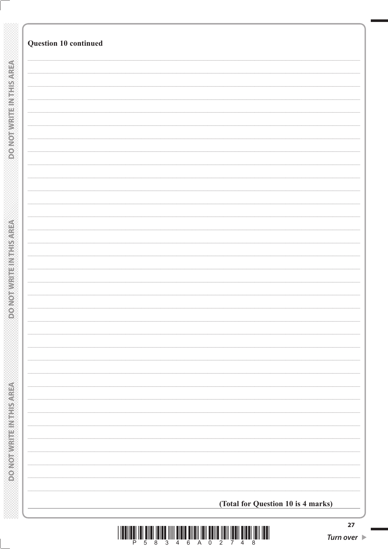| Question 10 continued              |
|------------------------------------|
|                                    |
|                                    |
|                                    |
|                                    |
|                                    |
|                                    |
|                                    |
|                                    |
|                                    |
|                                    |
|                                    |
|                                    |
|                                    |
|                                    |
|                                    |
|                                    |
|                                    |
|                                    |
|                                    |
|                                    |
|                                    |
|                                    |
|                                    |
|                                    |
|                                    |
|                                    |
|                                    |
|                                    |
|                                    |
|                                    |
|                                    |
|                                    |
| (Total for Question 10 is 4 marks) |

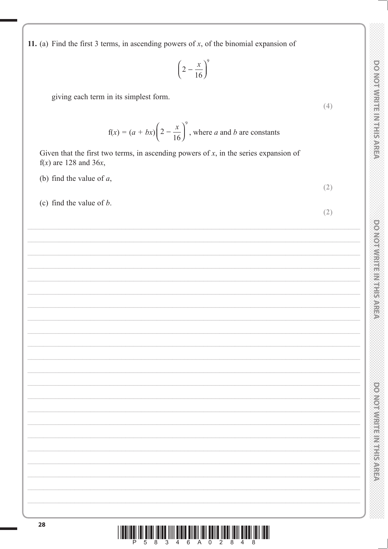$(4)$ 

 $(2)$ 

 $(2)$ 

powerwarms and conserv

**DOMOTIVE IN A FILEMENT SAFETY** 

11. (a) Find the first 3 terms, in ascending powers of  $x$ , of the binomial expansion of

$$
\left(2 - \frac{x}{16}\right)^9
$$

giving each term in its simplest form.

$$
f(x) = (a + bx) \left( 2 - \frac{x}{16} \right)^9
$$
, where *a* and *b* are constants

Given that the first two terms, in ascending powers of  $x$ , in the series expansion of  $f(x)$  are 128 and 36x,

- (b) find the value of  $a$ ,
- (c) find the value of  $b$ .

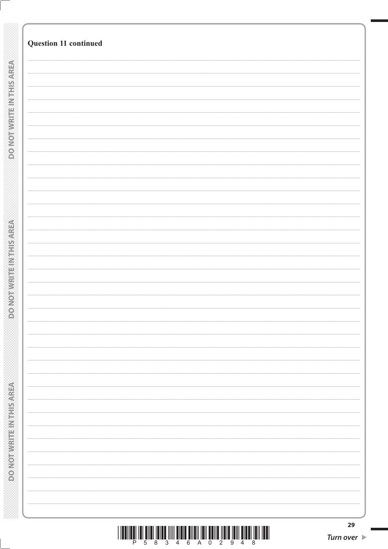|                                            | Question 11 continued |
|--------------------------------------------|-----------------------|
|                                            |                       |
|                                            |                       |
| <b>DO NOTWEITEN THIS AREA</b>              |                       |
|                                            |                       |
|                                            |                       |
|                                            |                       |
|                                            |                       |
|                                            |                       |
|                                            |                       |
|                                            |                       |
|                                            |                       |
|                                            |                       |
|                                            |                       |
|                                            |                       |
|                                            |                       |
|                                            |                       |
|                                            |                       |
|                                            |                       |
|                                            |                       |
|                                            |                       |
|                                            |                       |
|                                            |                       |
|                                            |                       |
|                                            |                       |
|                                            |                       |
|                                            |                       |
| <b>ROMOBIAL PROVIDED</b>                   |                       |
|                                            |                       |
|                                            |                       |
|                                            |                       |
|                                            |                       |
|                                            |                       |
|                                            |                       |
|                                            |                       |
|                                            |                       |
|                                            |                       |
|                                            |                       |
|                                            |                       |
|                                            |                       |
|                                            |                       |
|                                            |                       |
|                                            |                       |
|                                            |                       |
|                                            |                       |
|                                            |                       |
|                                            |                       |
|                                            |                       |
|                                            |                       |
|                                            |                       |
|                                            |                       |
| <b>MORE CARD IN THE REPORT OF A REPORT</b> |                       |
|                                            |                       |
|                                            |                       |

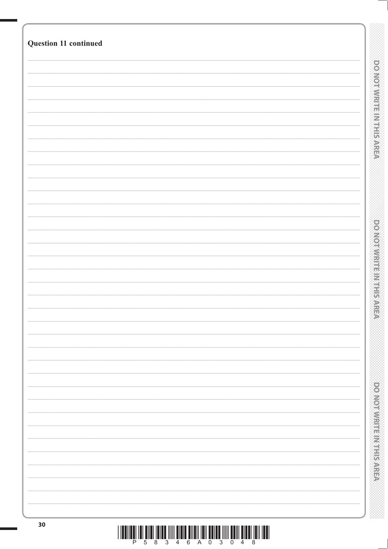| Question 11 continued |  |  |                                  |
|-----------------------|--|--|----------------------------------|
|                       |  |  |                                  |
|                       |  |  | <b>DO NOT WIRTFEIN THIS AREA</b> |
|                       |  |  |                                  |
|                       |  |  |                                  |
|                       |  |  |                                  |
|                       |  |  |                                  |
|                       |  |  |                                  |
|                       |  |  |                                  |
|                       |  |  |                                  |
|                       |  |  |                                  |
|                       |  |  |                                  |
|                       |  |  |                                  |
|                       |  |  |                                  |
|                       |  |  |                                  |
|                       |  |  |                                  |
|                       |  |  | <b>DOMORATION FERRIT SWEE</b>    |
|                       |  |  |                                  |
|                       |  |  |                                  |
|                       |  |  |                                  |
|                       |  |  |                                  |
|                       |  |  |                                  |
|                       |  |  |                                  |
|                       |  |  |                                  |
|                       |  |  |                                  |
|                       |  |  |                                  |
|                       |  |  |                                  |
|                       |  |  |                                  |
|                       |  |  |                                  |
|                       |  |  |                                  |
|                       |  |  |                                  |
|                       |  |  | <b>DONOINING INSTITUTION</b>     |
|                       |  |  |                                  |
|                       |  |  |                                  |
|                       |  |  |                                  |
| 30                    |  |  |                                  |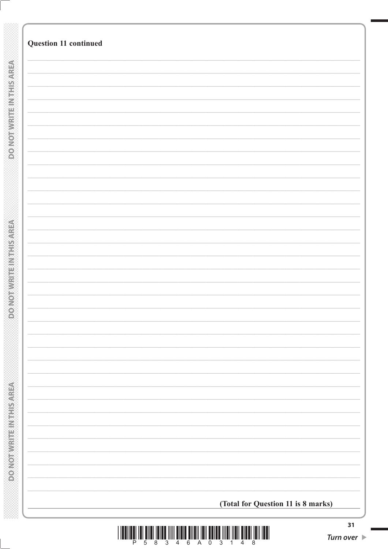|                              | Question 11 continued              |
|------------------------------|------------------------------------|
| <b>DONOTWRITEINTHIS AREA</b> |                                    |
|                              |                                    |
|                              |                                    |
|                              |                                    |
|                              |                                    |
|                              |                                    |
|                              |                                    |
|                              |                                    |
|                              |                                    |
|                              |                                    |
|                              |                                    |
|                              |                                    |
|                              |                                    |
|                              |                                    |
|                              |                                    |
|                              |                                    |
|                              |                                    |
|                              |                                    |
|                              |                                    |
|                              |                                    |
|                              |                                    |
|                              |                                    |
|                              |                                    |
|                              |                                    |
|                              |                                    |
|                              |                                    |
|                              |                                    |
|                              |                                    |
|                              |                                    |
|                              |                                    |
|                              |                                    |
|                              |                                    |
|                              |                                    |
|                              |                                    |
|                              | (Total for Question 11 is 8 marks) |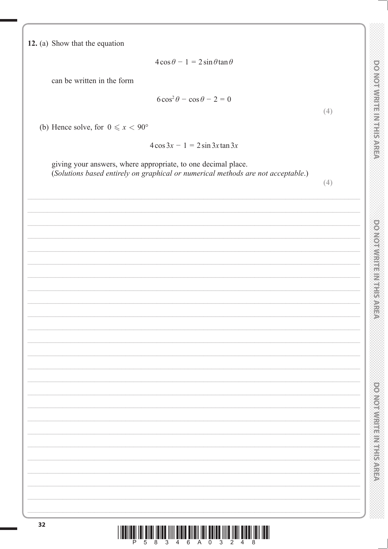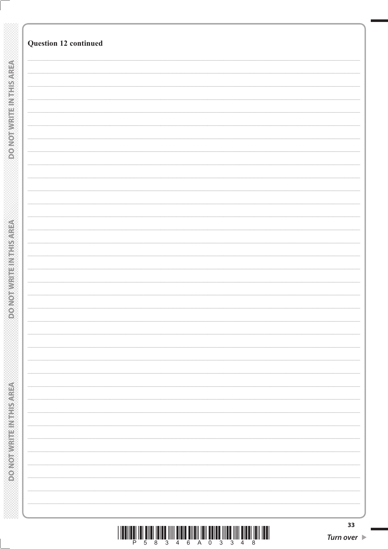| Question 12 continued |
|-----------------------|
|                       |
|                       |
|                       |
|                       |
|                       |
|                       |
|                       |
|                       |
|                       |
|                       |
|                       |
|                       |
|                       |
|                       |
|                       |
|                       |
|                       |
|                       |
|                       |
|                       |
|                       |
|                       |
|                       |
|                       |
|                       |
|                       |
|                       |
|                       |
|                       |
|                       |
|                       |
|                       |
|                       |
|                       |
|                       |
|                       |
|                       |
|                       |
|                       |
|                       |
|                       |
|                       |
|                       |
|                       |
|                       |
|                       |
|                       |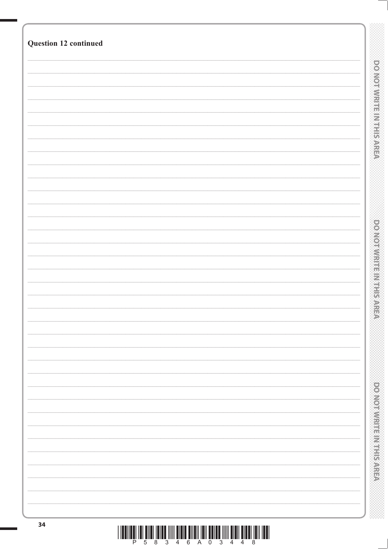| Question 12 continued |                                  |
|-----------------------|----------------------------------|
|                       |                                  |
|                       |                                  |
|                       | <b>DO NOT WIRTFEIN THIS AREA</b> |
|                       |                                  |
|                       |                                  |
|                       |                                  |
|                       |                                  |
|                       |                                  |
|                       |                                  |
|                       |                                  |
|                       |                                  |
|                       |                                  |
|                       |                                  |
|                       |                                  |
|                       |                                  |
|                       |                                  |
|                       |                                  |
|                       |                                  |
|                       |                                  |
|                       |                                  |
|                       |                                  |
|                       | <b>DOMORRITHMENT PARE</b>        |
|                       |                                  |
|                       |                                  |
|                       |                                  |
|                       |                                  |
|                       |                                  |
|                       |                                  |
|                       |                                  |
|                       |                                  |
|                       |                                  |
|                       |                                  |
|                       |                                  |
|                       |                                  |
|                       |                                  |
|                       |                                  |
|                       |                                  |
|                       |                                  |
|                       |                                  |
|                       |                                  |
|                       |                                  |
|                       | <b>DONOTHING ENGINEERS</b>       |
|                       |                                  |
|                       |                                  |
|                       |                                  |
|                       |                                  |
|                       |                                  |
|                       |                                  |
|                       |                                  |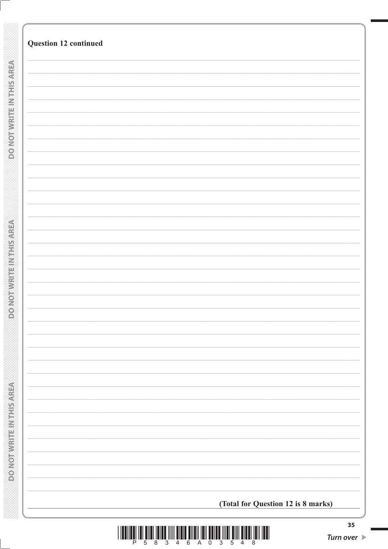|  | (Total for Question 12 is 8 marks) |  |
|--|------------------------------------|--|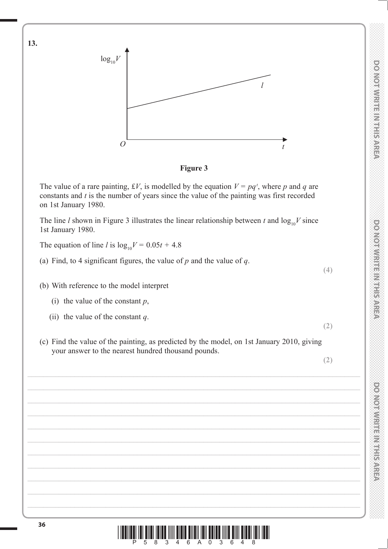

**Figure 3**

The value of a rare painting, £V, is modelled by the equation  $V = pq<sup>t</sup>$ , where p and q are constants and *t* is the number of years since the value of the painting was first recorded on 1st January 1980.

The line *l* shown in Figure 3 illustrates the linear relationship between *t* and  $\log_{10}V$  since 1st January 1980.

The equation of line *l* is  $\log_{10} V = 0.05t + 4.8$ 

(a) Find, to 4 significant figures, the value of *p* and the value of *q*.

(b) With reference to the model interpret

- (i) the value of the constant *p*,
- (ii) the value of the constant *q*.
- (c) Find the value of the painting, as predicted by the model, on 1st January 2010, giving your answer to the nearest hundred thousand pounds.

**(2)**

**(2)**

**(4)**

**<sup>36</sup>** \*P58346A03648\*

**13.**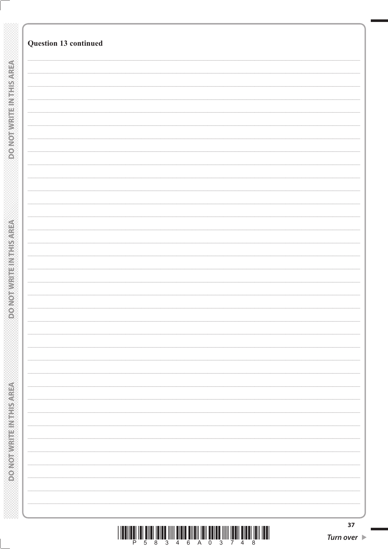|                                          | Question 13 continued |  |
|------------------------------------------|-----------------------|--|
|                                          |                       |  |
| <b>DO NOTWEITEN THIS AREA</b>            |                       |  |
|                                          |                       |  |
|                                          |                       |  |
|                                          |                       |  |
|                                          |                       |  |
|                                          |                       |  |
|                                          |                       |  |
|                                          |                       |  |
|                                          |                       |  |
|                                          |                       |  |
|                                          |                       |  |
|                                          |                       |  |
| <b>ROMOBIAL PROVIDED</b>                 |                       |  |
|                                          |                       |  |
|                                          |                       |  |
|                                          |                       |  |
|                                          |                       |  |
|                                          |                       |  |
|                                          |                       |  |
|                                          |                       |  |
|                                          |                       |  |
|                                          |                       |  |
|                                          |                       |  |
|                                          |                       |  |
| <b>Market Market Elizabeth Residence</b> |                       |  |
|                                          |                       |  |
|                                          |                       |  |
|                                          |                       |  |
|                                          |                       |  |
|                                          |                       |  |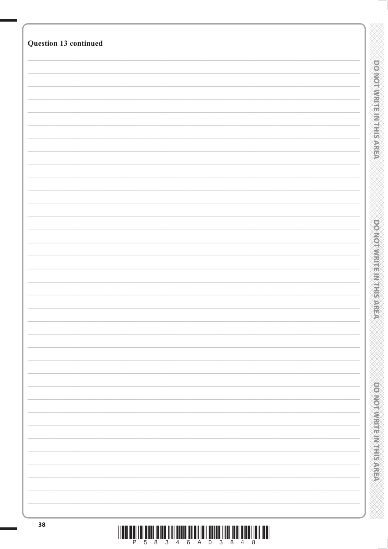| Question 13 continued |                                  |
|-----------------------|----------------------------------|
|                       |                                  |
|                       |                                  |
|                       |                                  |
|                       | <b>DO NOT WIRTFEIN THIS AREA</b> |
|                       |                                  |
|                       |                                  |
|                       |                                  |
|                       |                                  |
|                       |                                  |
|                       |                                  |
|                       |                                  |
|                       |                                  |
|                       |                                  |
|                       |                                  |
|                       |                                  |
|                       |                                  |
|                       |                                  |
|                       |                                  |
|                       |                                  |
|                       |                                  |
|                       |                                  |
|                       | <b>DOMORRITHMENT PARE</b>        |
|                       |                                  |
|                       |                                  |
|                       |                                  |
|                       |                                  |
|                       |                                  |
|                       |                                  |
|                       |                                  |
|                       |                                  |
|                       |                                  |
|                       |                                  |
|                       |                                  |
|                       |                                  |
|                       |                                  |
|                       |                                  |
|                       |                                  |
|                       |                                  |
|                       |                                  |
|                       | power with the Markey AREA       |
|                       |                                  |
|                       |                                  |
|                       |                                  |
|                       |                                  |
|                       |                                  |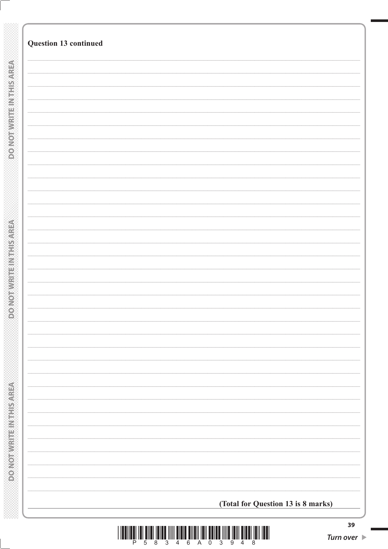| Question 13 continued              |
|------------------------------------|
|                                    |
|                                    |
|                                    |
|                                    |
|                                    |
|                                    |
|                                    |
|                                    |
|                                    |
|                                    |
|                                    |
|                                    |
|                                    |
|                                    |
|                                    |
|                                    |
|                                    |
|                                    |
|                                    |
|                                    |
|                                    |
|                                    |
|                                    |
|                                    |
|                                    |
|                                    |
|                                    |
|                                    |
|                                    |
| (Total for Question 13 is 8 marks) |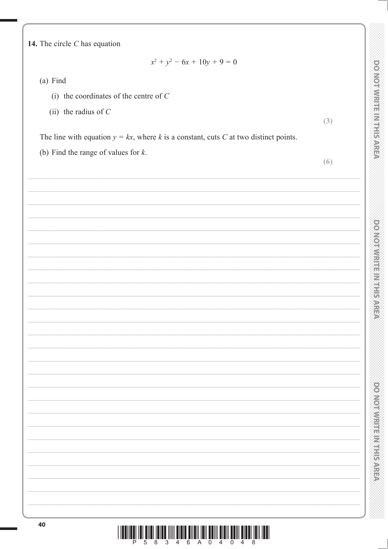DO NOTWRITEINTHIS AREA

powerware management

**DOMORATION CONTROL** 

14. The circle  $C$  has equation

$$
x^2 + y^2 - 6x + 10y + 9 = 0
$$

 $(a)$  Find

- (i) the coordinates of the centre of  $C$
- (ii) the radius of  $C$

 $(3)$ 

The line with equation  $y = kx$ , where k is a constant, cuts C at two distinct points.

(b) Find the range of values for  $k$ .

 $(6)$ 

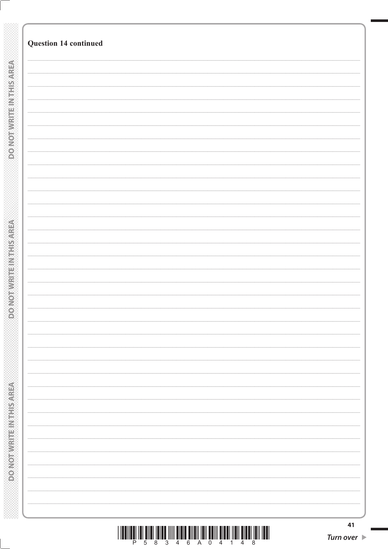| <b>Question 14 continued</b> |  |
|------------------------------|--|
|                              |  |
|                              |  |
|                              |  |
|                              |  |
|                              |  |
|                              |  |
|                              |  |
|                              |  |
|                              |  |
|                              |  |
|                              |  |
|                              |  |
|                              |  |
|                              |  |
|                              |  |
|                              |  |
|                              |  |
|                              |  |
|                              |  |
|                              |  |
|                              |  |
|                              |  |
|                              |  |
|                              |  |
|                              |  |
|                              |  |
|                              |  |
|                              |  |
|                              |  |
|                              |  |

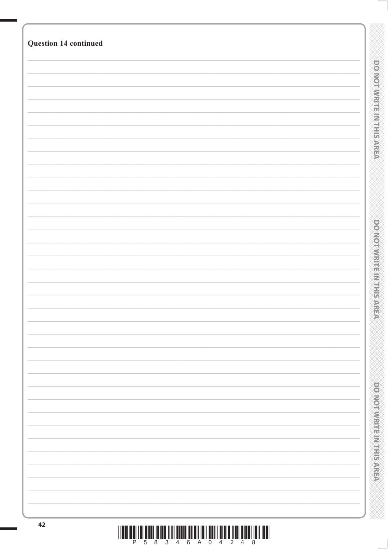| <b>Question 14 continued</b> |                                   |
|------------------------------|-----------------------------------|
|                              |                                   |
|                              | <b>DO NOTWRITEIN HIS AREA</b>     |
|                              |                                   |
|                              |                                   |
|                              |                                   |
|                              |                                   |
|                              |                                   |
|                              |                                   |
|                              |                                   |
|                              |                                   |
|                              |                                   |
|                              |                                   |
|                              |                                   |
|                              |                                   |
|                              | <b>PONDERN MENTIONS CONSTRUCT</b> |
|                              |                                   |
|                              |                                   |
|                              |                                   |
|                              |                                   |
|                              |                                   |
|                              |                                   |
|                              |                                   |
|                              |                                   |
|                              |                                   |
|                              |                                   |
|                              |                                   |
|                              |                                   |
|                              |                                   |
|                              | <b>DONOMIAL IN STREET</b>         |
|                              |                                   |
|                              |                                   |
|                              |                                   |
| 42                           |                                   |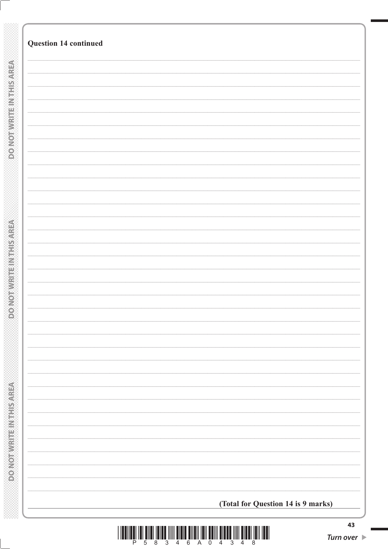| <b>Question 14 continued</b>       |
|------------------------------------|
|                                    |
|                                    |
|                                    |
|                                    |
|                                    |
|                                    |
|                                    |
|                                    |
|                                    |
|                                    |
|                                    |
|                                    |
|                                    |
|                                    |
|                                    |
|                                    |
|                                    |
|                                    |
|                                    |
|                                    |
|                                    |
|                                    |
|                                    |
|                                    |
|                                    |
|                                    |
|                                    |
|                                    |
|                                    |
|                                    |
|                                    |
|                                    |
|                                    |
|                                    |
|                                    |
|                                    |
|                                    |
|                                    |
|                                    |
|                                    |
|                                    |
|                                    |
|                                    |
|                                    |
|                                    |
|                                    |
|                                    |
|                                    |
|                                    |
|                                    |
|                                    |
| (Total for Question 14 is 9 marks) |
|                                    |



§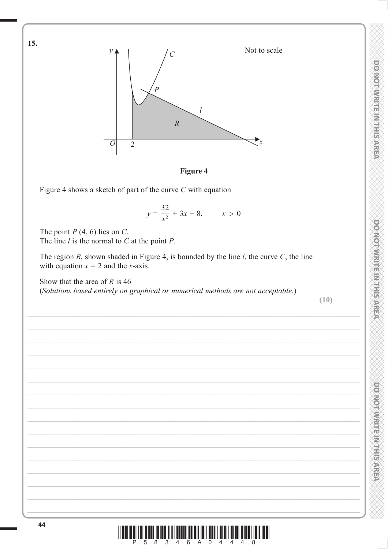

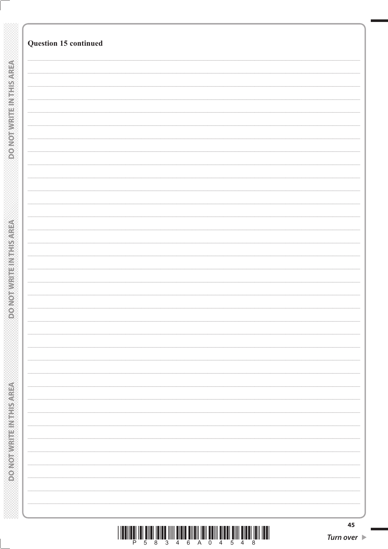| Question 15 continued |  |  |
|-----------------------|--|--|
|                       |  |  |
|                       |  |  |
|                       |  |  |
|                       |  |  |
|                       |  |  |
|                       |  |  |
|                       |  |  |
|                       |  |  |
|                       |  |  |
|                       |  |  |
|                       |  |  |
|                       |  |  |
|                       |  |  |
|                       |  |  |
|                       |  |  |
|                       |  |  |
|                       |  |  |
|                       |  |  |
|                       |  |  |
|                       |  |  |
|                       |  |  |
|                       |  |  |
|                       |  |  |
|                       |  |  |
|                       |  |  |
|                       |  |  |
|                       |  |  |
|                       |  |  |
|                       |  |  |
|                       |  |  |
|                       |  |  |
|                       |  |  |
|                       |  |  |
|                       |  |  |
|                       |  |  |
|                       |  |  |
|                       |  |  |
|                       |  |  |
|                       |  |  |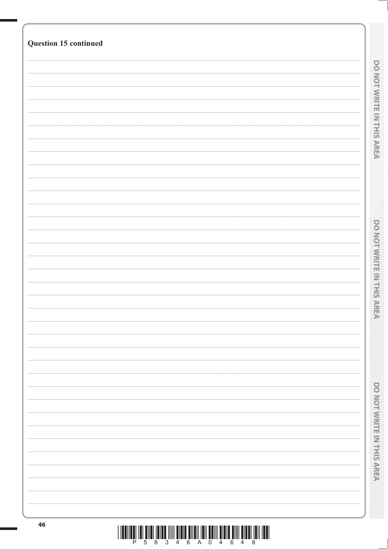| Question 15 continued |  |                                  |
|-----------------------|--|----------------------------------|
|                       |  |                                  |
|                       |  |                                  |
|                       |  | <b>DO NOT WIRTFEIN THIS AREA</b> |
|                       |  |                                  |
|                       |  |                                  |
|                       |  |                                  |
|                       |  |                                  |
|                       |  |                                  |
|                       |  |                                  |
|                       |  |                                  |
|                       |  |                                  |
|                       |  |                                  |
|                       |  |                                  |
|                       |  |                                  |
|                       |  |                                  |
|                       |  |                                  |
|                       |  |                                  |
|                       |  |                                  |
|                       |  |                                  |
|                       |  |                                  |
|                       |  | <b>DOMORRITHMENT PARE</b>        |
|                       |  |                                  |
|                       |  |                                  |
|                       |  |                                  |
|                       |  |                                  |
|                       |  |                                  |
|                       |  |                                  |
|                       |  |                                  |
|                       |  |                                  |
|                       |  |                                  |
|                       |  |                                  |
|                       |  |                                  |
|                       |  |                                  |
|                       |  |                                  |
|                       |  |                                  |
|                       |  |                                  |
|                       |  |                                  |
|                       |  |                                  |
|                       |  |                                  |
|                       |  | <b>DONOTHING ENGINEERS</b>       |
|                       |  |                                  |
|                       |  |                                  |
|                       |  |                                  |
|                       |  |                                  |
| 46                    |  |                                  |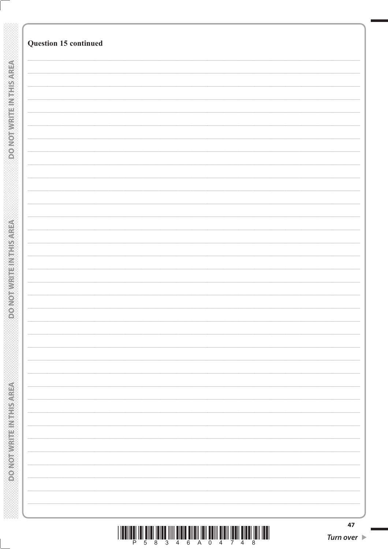| Question 15 continued |
|-----------------------|
|                       |
|                       |
|                       |
|                       |
|                       |
|                       |
|                       |
|                       |
|                       |
|                       |
|                       |
|                       |
|                       |
|                       |
|                       |
|                       |
|                       |
|                       |
|                       |
|                       |
|                       |
|                       |
|                       |
|                       |
|                       |
|                       |
|                       |
|                       |
|                       |
|                       |
|                       |
|                       |
|                       |